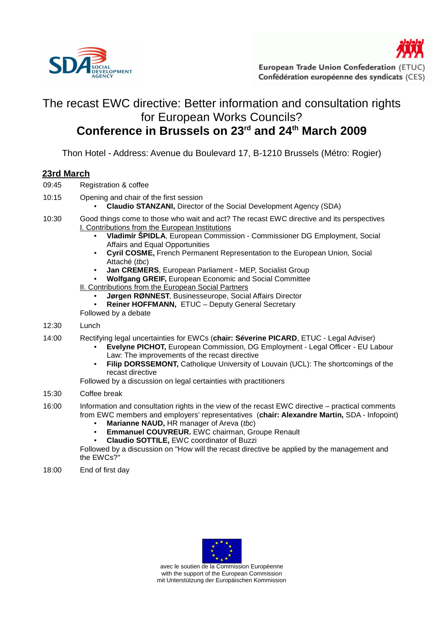



## The recast EWC directive: Better information and consultation rights for European Works Councils? **Conference in Brussels on 23rd and 24th March 2009**

Thon Hotel - Address: Avenue du Boulevard 17, B-1210 Brussels (Métro: Rogier)

## **23rd March**

- 09:45 Registration & coffee
- 10:15 Opening and chair of the first session
	- **Claudio STANZANI,** Director of the Social Development Agency (SDA)
- 10:30 Good things come to those who wait and act? The recast EWC directive and its perspectives I. Contributions from the European Institutions
	- **Vladimír ŠPIDLA**, European Commission Commissioner DG Employment, Social Affairs and Equal Opportunities
	- **Cyril COSME,** French Permanent Representation to the European Union, Social Attaché (tbc)
	- **Jan CREMERS**, European Parliament MEP, Socialist Group
	- **Wolfgang GREIF,** European Economic and Social Committee

II. Contributions from the European Social Partners

- **Jørgen RØNNEST**, Businesseurope, Social Affairs Director
- Reiner HOFFMANN, ETUC Deputy General Secretary
- Followed by a debate

## 12:30 Lunch

- 14:00 Rectifying legal uncertainties for EWCs (**chair: Séverine PICARD**, ETUC Legal Adviser)
	- **Evelyne PICHOT,** European Commission, DG Employment Legal Officer EU Labour Law: The improvements of the recast directive
	- **Filip DORSSEMONT.** Catholique University of Louvain (UCL): The shortcomings of the recast directive

Followed by a discussion on legal certainties with practitioners

- 15:30 Coffee break
- 16:00 Information and consultation rights in the view of the recast EWC directive practical comments from EWC members and employers' representatives (**chair: Alexandre Martin,** SDA - Infopoint)
	- **Marianne NAUD, HR manager of Areva (tbc)**
	- **Emmanuel COUVREUR.** EWC chairman, Groupe Renault
	- **Claudio SOTTILE,** EWC coordinator of Buzzi

Followed by a discussion on "How will the recast directive be applied by the management and the EWCs?"

18:00 End of first day



avec le soutien de la Commission Européenne with the support of the European Commission mit Unterstützung der Europäischen Kommission